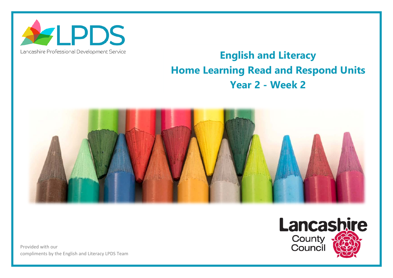

## Lancashire Professional Development Service

## **English and Literacy Home Learning Read and Respond Units Year 2 - Week 2**



Provided with our compliments by the English and Literacy LPDS Team

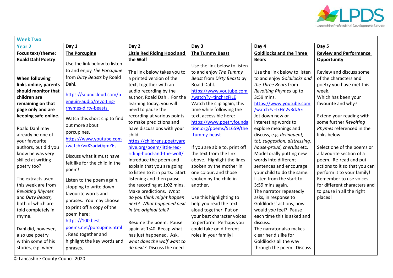

| <b>Week Two</b>                                                                                                                                                                                                                                                                                   |                                                                                                                                                                                                                                                                                                                                              |                                                                                                                                                                                                                                                                                                                                                                                                                                                                                   |                                                                                                                                                                                                                                                                                                                                                                                                                                 |                                                                                                                                                                                                                                                                                                                                                                                                                                                           |                                                                                                                                                                                                                                                                                                                                                                                        |  |  |
|---------------------------------------------------------------------------------------------------------------------------------------------------------------------------------------------------------------------------------------------------------------------------------------------------|----------------------------------------------------------------------------------------------------------------------------------------------------------------------------------------------------------------------------------------------------------------------------------------------------------------------------------------------|-----------------------------------------------------------------------------------------------------------------------------------------------------------------------------------------------------------------------------------------------------------------------------------------------------------------------------------------------------------------------------------------------------------------------------------------------------------------------------------|---------------------------------------------------------------------------------------------------------------------------------------------------------------------------------------------------------------------------------------------------------------------------------------------------------------------------------------------------------------------------------------------------------------------------------|-----------------------------------------------------------------------------------------------------------------------------------------------------------------------------------------------------------------------------------------------------------------------------------------------------------------------------------------------------------------------------------------------------------------------------------------------------------|----------------------------------------------------------------------------------------------------------------------------------------------------------------------------------------------------------------------------------------------------------------------------------------------------------------------------------------------------------------------------------------|--|--|
| Year <sub>2</sub>                                                                                                                                                                                                                                                                                 | Day 1                                                                                                                                                                                                                                                                                                                                        | Day 2                                                                                                                                                                                                                                                                                                                                                                                                                                                                             | Day 3                                                                                                                                                                                                                                                                                                                                                                                                                           | Day 4                                                                                                                                                                                                                                                                                                                                                                                                                                                     | Day 5                                                                                                                                                                                                                                                                                                                                                                                  |  |  |
| Focus text/theme:                                                                                                                                                                                                                                                                                 | <b>The Porcupine</b>                                                                                                                                                                                                                                                                                                                         | <b>Little Red Riding Hood and</b>                                                                                                                                                                                                                                                                                                                                                                                                                                                 | <b>The Tummy Beast</b>                                                                                                                                                                                                                                                                                                                                                                                                          | <b>Goldilocks and the Three</b>                                                                                                                                                                                                                                                                                                                                                                                                                           | <b>Review and Performance</b>                                                                                                                                                                                                                                                                                                                                                          |  |  |
| <b>Roald Dahl Poetry</b>                                                                                                                                                                                                                                                                          | Use the link below to listen                                                                                                                                                                                                                                                                                                                 | the Wolf                                                                                                                                                                                                                                                                                                                                                                                                                                                                          | Use the link below to listen                                                                                                                                                                                                                                                                                                                                                                                                    | <b>Bears</b>                                                                                                                                                                                                                                                                                                                                                                                                                                              | <b>Opportunity</b>                                                                                                                                                                                                                                                                                                                                                                     |  |  |
| <b>When following</b><br>links online, parents<br>should monitor that<br>children are<br>remaining on that<br>page only and are<br>keeping safe online.<br>Roald Dahl may<br>already be one of<br>your favourite<br>authors, but did you<br>know he was very<br>skilled at writing<br>poetry too? | to and enjoy The Porcupine<br>from Dirty Beasts by Roald<br>Dahl.<br>https://soundcloud.com/p<br>enguin-audio/revolting-<br>rhymes-dirty-beasts<br>Watch this short clip to find<br>out more about<br>porcupines.<br>https://www.youtube.com<br>/watch?v=KSadv0qmZ6s<br>Discuss what it must have<br>felt like for the child in the<br>poem! | The link below takes you to<br>a printed version of the<br>text, together with an<br>audio recording by the<br>author, Roald Dahl. For the<br>learning today, you will<br>need to pause the<br>recording at various points<br>to make predictions and<br>have discussions with your<br>child.<br>https://childrens.poetryarc<br>hive.org/poem/little-red-<br>riding-hood-and-the-wolf/<br>Introduce the poem and<br>explain that you are going<br>to listen to it in parts. Start | to and enjoy The Tummy<br>Beast from Dirty Beasts by<br>Roald Dahl.<br>https://www.youtube.com<br>/watch?v=tinzhrgFILE<br>Watch the clip again, this<br>time while following the<br>text, accessible here:<br>https://www.poetryfounda<br>tion.org/poems/51659/the<br>-tummy-beast<br>If you are able to, print off<br>the text from the link<br>above. Highlight the lines<br>spoken by the mother in<br>one colour, and those | Use the link below to listen<br>to and enjoy Goldilocks and<br>the Three Bears from<br>Revolting Rhymes up to<br>3:59 mins.<br>https://www.youtube.com<br>/watch?v=IxHn2v3dz5E<br>Jot down new or<br>interesting words to<br>explore meanings and<br>discuss, e.g. delinquent,<br>tot, suggestion, distressing,<br>house-proud, cherubs etc.<br>Model orally putting new<br>words into different<br>sentences and encourage<br>your child to do the same. | Review and discuss some<br>of the characters and<br>poetry you have met this<br>week.<br>Which has been your<br>favourite and why?<br>Extend your reading with<br>some further Revolting<br>Rhymes referenced in the<br>links below.<br>Select one of the poems or<br>a favourite section of a<br>poem. Re-read and put<br>actions to it so that you can<br>perform it to your family! |  |  |
| The extracts used<br>this week are from<br><b>Revolting Rhymes</b><br>and Dirty Beasts,<br>both of which are<br>told completely in<br>rhyme.<br>Dahl did, however,<br>also use poetry<br>within some of his<br>stories, e.g. when                                                                 | Listen to the poem again,<br>stopping to write down<br>favourite words and<br>phrases. You may choose<br>to print off a copy of the<br>poem here:<br>https://100.best-<br>poems.net/porcupine.html<br>Read together and<br>highlight the key words and<br>phrases.                                                                           | listening and then pause<br>the recording at 1:02 mins.<br>Make predictions. What<br>do you think might happen<br>next? What happened next<br>in the original tale?<br>Resume the poem. Pause<br>again at 1:40. Recap what<br>has just happened. Ask,<br>what does the wolf want to<br>do next? Discuss the need                                                                                                                                                                  | spoken by the child in<br>another.<br>Use this highlighting to<br>help you read the text<br>aloud together. Put on<br>your best character voices<br>to perform! Perhaps you<br>could take on different<br>roles in your family!                                                                                                                                                                                                 | Listen from the start to<br>3:59 mins again.<br>The narrator repeatedly<br>asks, in response to<br>Goldilocks' actions, how<br>would you feel? Pause<br>each time this is asked and<br>discuss.<br>The narrator also makes<br>clear her dislike for<br>Goldilocks all the way<br>through the poem. Discuss                                                                                                                                                | Remember to use voices<br>for different characters and<br>to pause in all the right<br>places!                                                                                                                                                                                                                                                                                         |  |  |

© Lancashire County Council 2020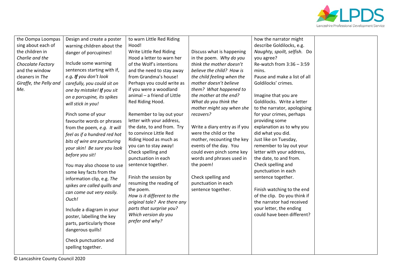

| sing about each of<br>the children in<br>Charlie and the<br>Chocolate Factory<br>and the window<br>cleaners in The<br>Giraffe, the Pelly and<br>Me. | warning children about the<br>danger of porcupines!<br>Include some warning<br>sentences starting with if,<br>e.g. If you don't look<br>carefully, you could sit on<br>one by mistake! If you sit<br>on a porcupine, its spikes<br>will stick in you!<br>Pinch some of your<br>favourite words or phrases<br>from the poem, e.g. It will<br>feel as if a hundred red hot<br>bits of wire are puncturing<br>your skin! Be sure you look<br>before you sit!<br>You may also choose to use<br>some key facts from the<br>information clip, e.g. The<br>spikes are called quills and<br>can come out very easily.<br>Ouch!<br>Include a diagram in your<br>poster, labelling the key<br>parts, particularly those<br>dangerous quills!<br>Check punctuation and<br>spelling together. | Hood!<br>Write Little Red Riding<br>Hood a letter to warn her<br>of the Wolf's intentions<br>and the need to stay away<br>from Grandma's house!<br>Perhaps you could write as<br>if you were a woodland<br>animal - a friend of Little<br>Red Riding Hood.<br>Remember to lay out your<br>letter with your address,<br>the date, to and from. Try<br>to convince Little Red<br>Riding Hood as much as<br>you can to stay away!<br>Check spelling and<br>punctuation in each<br>sentence together.<br>Finish the session by<br>resuming the reading of<br>the poem.<br>How is it different to the<br>original tale? Are there any<br>parts that surprise you?<br>Which version do you<br>prefer and why? | Discuss what is happening<br>in the poem. Why do you<br>think the mother doesn't<br>believe the child? How is<br>the child feeling when the<br>mother doesn't believe<br>them? What happened to<br>the mother at the end?<br>What do you think the<br>mother might say when she<br>recovers?<br>Write a diary entry as if you<br>were the child or the<br>mother, recounting the key<br>events of the day. You<br>could even pinch some key<br>words and phrases used in<br>the poem!<br>Check spelling and<br>punctuation in each<br>sentence together. | describe Goldilocks, e.g.<br>Naughty, spoilt, selfish. Do<br>you agree?<br>Re-watch from $3:36 - 3:59$<br>mins.<br>Pause and make a list of all<br>Goldilocks' crimes.<br>Imagine that you are<br>Goldilocks. Write a letter<br>to the narrator, apologising<br>for your crimes, perhaps<br>providing some<br>explanation as to why you<br>did what you did.<br>Just like on Tuesday,<br>remember to lay out your<br>letter with your address,<br>the date, to and from.<br>Check spelling and<br>punctuation in each<br>sentence together.<br>Finish watching to the end<br>of the clip. Do you think if<br>the narrator had received<br>your letter, the ending<br>could have been different? |  |
|-----------------------------------------------------------------------------------------------------------------------------------------------------|-----------------------------------------------------------------------------------------------------------------------------------------------------------------------------------------------------------------------------------------------------------------------------------------------------------------------------------------------------------------------------------------------------------------------------------------------------------------------------------------------------------------------------------------------------------------------------------------------------------------------------------------------------------------------------------------------------------------------------------------------------------------------------------|---------------------------------------------------------------------------------------------------------------------------------------------------------------------------------------------------------------------------------------------------------------------------------------------------------------------------------------------------------------------------------------------------------------------------------------------------------------------------------------------------------------------------------------------------------------------------------------------------------------------------------------------------------------------------------------------------------|----------------------------------------------------------------------------------------------------------------------------------------------------------------------------------------------------------------------------------------------------------------------------------------------------------------------------------------------------------------------------------------------------------------------------------------------------------------------------------------------------------------------------------------------------------|-------------------------------------------------------------------------------------------------------------------------------------------------------------------------------------------------------------------------------------------------------------------------------------------------------------------------------------------------------------------------------------------------------------------------------------------------------------------------------------------------------------------------------------------------------------------------------------------------------------------------------------------------------------------------------------------------|--|
|-----------------------------------------------------------------------------------------------------------------------------------------------------|-----------------------------------------------------------------------------------------------------------------------------------------------------------------------------------------------------------------------------------------------------------------------------------------------------------------------------------------------------------------------------------------------------------------------------------------------------------------------------------------------------------------------------------------------------------------------------------------------------------------------------------------------------------------------------------------------------------------------------------------------------------------------------------|---------------------------------------------------------------------------------------------------------------------------------------------------------------------------------------------------------------------------------------------------------------------------------------------------------------------------------------------------------------------------------------------------------------------------------------------------------------------------------------------------------------------------------------------------------------------------------------------------------------------------------------------------------------------------------------------------------|----------------------------------------------------------------------------------------------------------------------------------------------------------------------------------------------------------------------------------------------------------------------------------------------------------------------------------------------------------------------------------------------------------------------------------------------------------------------------------------------------------------------------------------------------------|-------------------------------------------------------------------------------------------------------------------------------------------------------------------------------------------------------------------------------------------------------------------------------------------------------------------------------------------------------------------------------------------------------------------------------------------------------------------------------------------------------------------------------------------------------------------------------------------------------------------------------------------------------------------------------------------------|--|